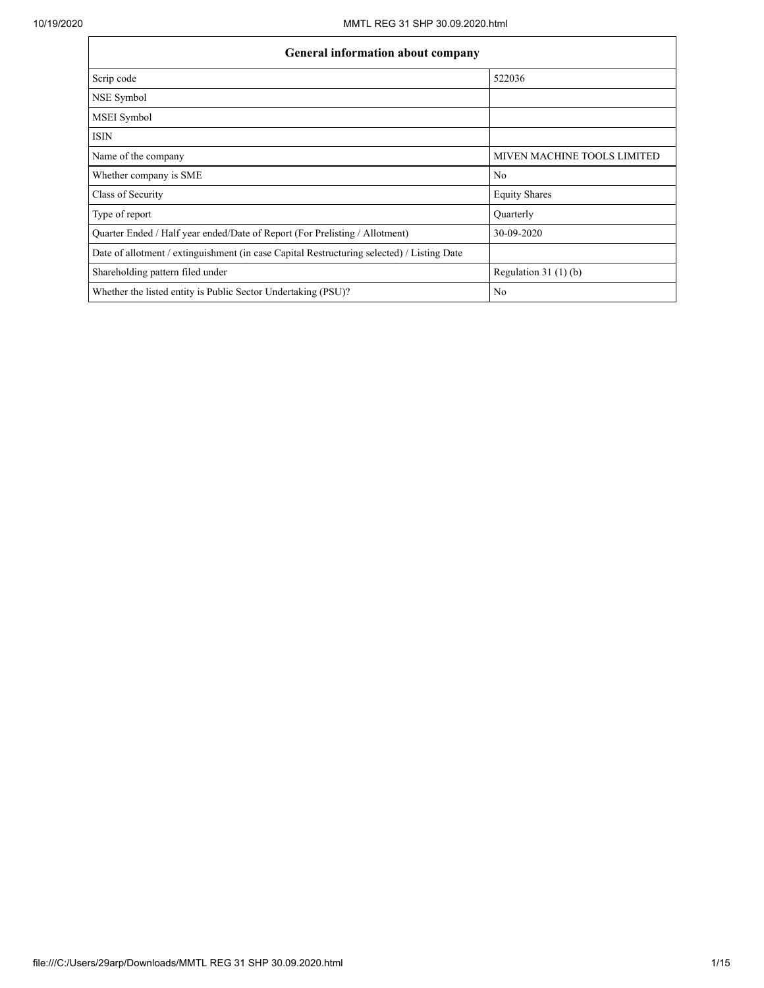| <b>General information about company</b>                                                   |                             |  |  |  |  |  |  |  |
|--------------------------------------------------------------------------------------------|-----------------------------|--|--|--|--|--|--|--|
| Scrip code                                                                                 | 522036                      |  |  |  |  |  |  |  |
| NSE Symbol                                                                                 |                             |  |  |  |  |  |  |  |
| <b>MSEI</b> Symbol                                                                         |                             |  |  |  |  |  |  |  |
| <b>ISIN</b>                                                                                |                             |  |  |  |  |  |  |  |
| Name of the company                                                                        | MIVEN MACHINE TOOLS LIMITED |  |  |  |  |  |  |  |
| Whether company is SME                                                                     | No                          |  |  |  |  |  |  |  |
| Class of Security                                                                          | <b>Equity Shares</b>        |  |  |  |  |  |  |  |
| Type of report                                                                             | Quarterly                   |  |  |  |  |  |  |  |
| Quarter Ended / Half year ended/Date of Report (For Prelisting / Allotment)                | 30-09-2020                  |  |  |  |  |  |  |  |
| Date of allotment / extinguishment (in case Capital Restructuring selected) / Listing Date |                             |  |  |  |  |  |  |  |
| Shareholding pattern filed under                                                           | Regulation $31(1)(b)$       |  |  |  |  |  |  |  |
| Whether the listed entity is Public Sector Undertaking (PSU)?                              | No                          |  |  |  |  |  |  |  |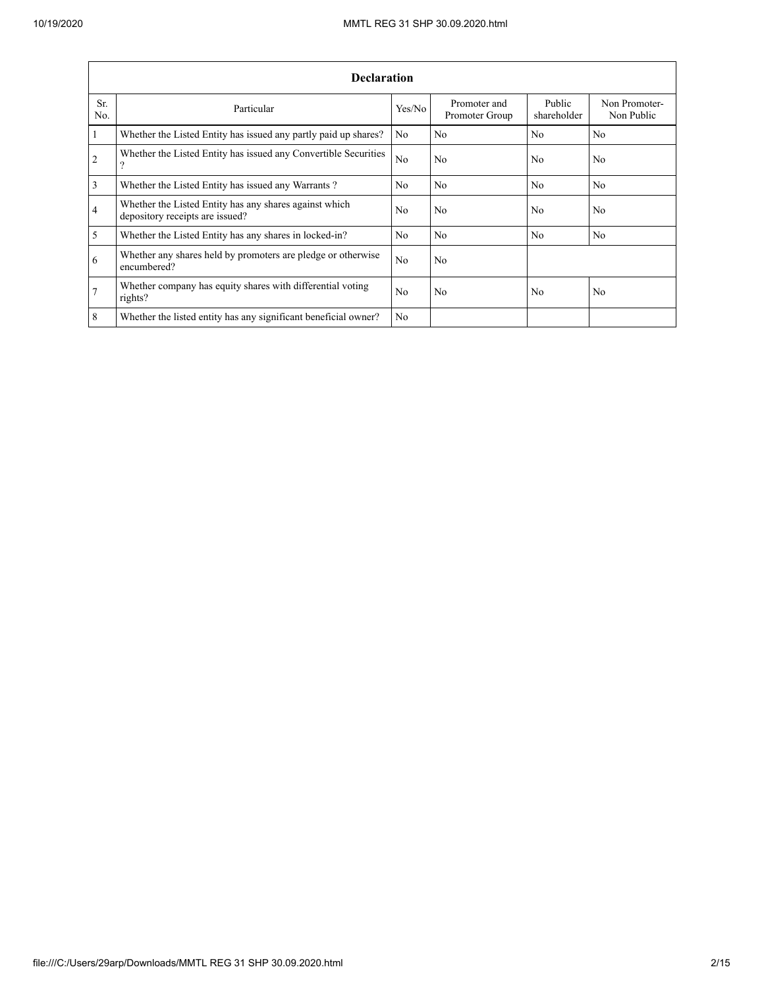|                 | <b>Declaration</b>                                                                        |                |                                |                       |                             |  |  |  |  |  |  |
|-----------------|-------------------------------------------------------------------------------------------|----------------|--------------------------------|-----------------------|-----------------------------|--|--|--|--|--|--|
| Sr.<br>No.      | Particular                                                                                | Yes/No         | Promoter and<br>Promoter Group | Public<br>shareholder | Non Promoter-<br>Non Public |  |  |  |  |  |  |
| $\overline{1}$  | Whether the Listed Entity has issued any partly paid up shares?                           | No             | No                             | No                    | No                          |  |  |  |  |  |  |
| $\overline{2}$  | Whether the Listed Entity has issued any Convertible Securities<br>?                      | No             | No                             | No                    | No                          |  |  |  |  |  |  |
| $\overline{3}$  | Whether the Listed Entity has issued any Warrants?                                        | No.            | No                             | N <sub>0</sub>        | N <sub>0</sub>              |  |  |  |  |  |  |
| $\overline{4}$  | Whether the Listed Entity has any shares against which<br>depository receipts are issued? | No             | No                             | No                    | No                          |  |  |  |  |  |  |
| $\overline{5}$  | Whether the Listed Entity has any shares in locked-in?                                    | No             | No                             | No                    | No                          |  |  |  |  |  |  |
| 6               | Whether any shares held by promoters are pledge or otherwise<br>encumbered?               | N <sub>0</sub> | No                             |                       |                             |  |  |  |  |  |  |
| $7\phantom{.0}$ | Whether company has equity shares with differential voting<br>rights?                     | No.            | No                             | No                    | No                          |  |  |  |  |  |  |
| 8               | Whether the listed entity has any significant beneficial owner?                           | No             |                                |                       |                             |  |  |  |  |  |  |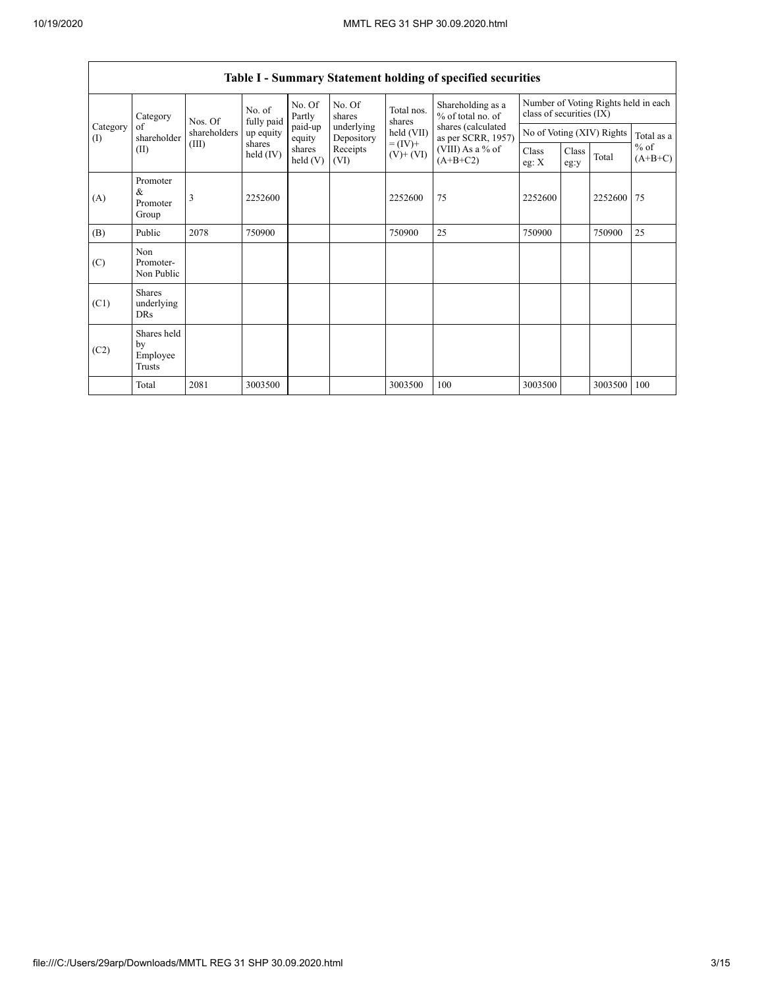| Category<br>Category<br>of<br>(I) |                                           |                                                                                                                                  | No. of<br>fully paid<br>Nos. Of | No. Of<br>Partly  | No. Of<br>shares         | Total nos.<br>shares | Shareholding as a<br>% of total no. of<br>shares (calculated<br>as per SCRR, 1957) | Number of Voting Rights held in each<br>class of securities (IX) |  |         |            |
|-----------------------------------|-------------------------------------------|----------------------------------------------------------------------------------------------------------------------------------|---------------------------------|-------------------|--------------------------|----------------------|------------------------------------------------------------------------------------|------------------------------------------------------------------|--|---------|------------|
|                                   | shareholder                               | shareholders                                                                                                                     | up equity<br>shares             | paid-up<br>equity | underlying<br>Depository | held (VII)           |                                                                                    | No of Voting (XIV) Rights                                        |  |         | Total as a |
|                                   | (II)                                      | $= (IV) +$<br>(III)<br>(VIII) As a % of<br>Receipts<br>shares<br>held (IV)<br>$(V)$ + $(VI)$<br>$(A+B+C2)$<br>held $(V)$<br>(VI) |                                 | Class<br>eg: $X$  | Class<br>eg:y            | Total                | $%$ of<br>$(A+B+C)$                                                                |                                                                  |  |         |            |
| (A)                               | Promoter<br>&<br>Promoter<br>Group        | 3                                                                                                                                | 2252600                         |                   |                          | 2252600              | 75                                                                                 | 2252600                                                          |  | 2252600 | 75         |
| (B)                               | Public                                    | 2078                                                                                                                             | 750900                          |                   |                          | 750900               | 25                                                                                 | 750900                                                           |  | 750900  | 25         |
| (C)                               | Non<br>Promoter-<br>Non Public            |                                                                                                                                  |                                 |                   |                          |                      |                                                                                    |                                                                  |  |         |            |
| (C1)                              | <b>Shares</b><br>underlying<br><b>DRs</b> |                                                                                                                                  |                                 |                   |                          |                      |                                                                                    |                                                                  |  |         |            |
| (C2)                              | Shares held<br>by<br>Employee<br>Trusts   |                                                                                                                                  |                                 |                   |                          |                      |                                                                                    |                                                                  |  |         |            |
|                                   | Total                                     | 2081                                                                                                                             | 3003500                         |                   |                          | 3003500              | 100                                                                                | 3003500                                                          |  | 3003500 | 100        |

## **Table I - Summary Statement holding of specified securities**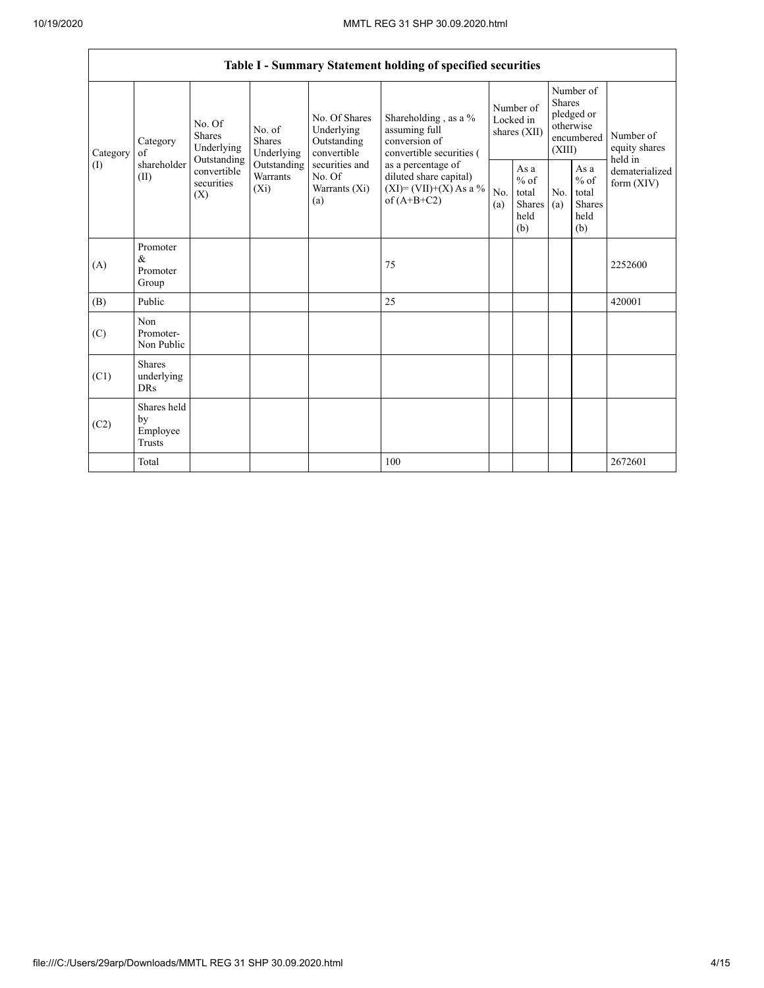|          | Table I - Summary Statement holding of specified securities                                                                                                                                                                                                                                                                                                                                                                                                                             |            |                                                  |            |                                                         |                                        |  |                                                                        |  |                                       |
|----------|-----------------------------------------------------------------------------------------------------------------------------------------------------------------------------------------------------------------------------------------------------------------------------------------------------------------------------------------------------------------------------------------------------------------------------------------------------------------------------------------|------------|--------------------------------------------------|------------|---------------------------------------------------------|----------------------------------------|--|------------------------------------------------------------------------|--|---------------------------------------|
| Category | Shareholding, as a %<br>No. Of Shares<br>No. Of<br>Underlying<br>assuming full<br>No. of<br><b>Shares</b><br>conversion of<br><b>Shares</b><br>Outstanding<br>Category<br>Underlying<br>convertible<br>Underlying<br>of<br>Outstanding<br>shareholder<br>securities and<br>Outstanding<br>as a percentage of<br>convertible<br>Warrants<br>No. Of<br>diluted share capital)<br>(II)<br>securities<br>$(XI)=(VII)+(X) As a %$<br>$(X_i)$<br>Warrants (Xi)<br>(X)<br>of $(A+B+C2)$<br>(a) |            |                                                  |            | convertible securities (                                | Number of<br>Locked in<br>shares (XII) |  | Number of<br>Shares<br>pledged or<br>otherwise<br>encumbered<br>(XIII) |  | Number of<br>equity shares<br>held in |
| (I)      |                                                                                                                                                                                                                                                                                                                                                                                                                                                                                         | No.<br>(a) | As a<br>$%$ of<br>total<br>Shares<br>held<br>(b) | No.<br>(a) | As a<br>$%$ of<br>total<br><b>Shares</b><br>held<br>(b) | dematerialized<br>form (XIV)           |  |                                                                        |  |                                       |
| (A)      | Promoter<br>&<br>Promoter<br>Group                                                                                                                                                                                                                                                                                                                                                                                                                                                      |            |                                                  |            | 75                                                      |                                        |  |                                                                        |  | 2252600                               |
| (B)      | Public                                                                                                                                                                                                                                                                                                                                                                                                                                                                                  |            |                                                  |            | 25                                                      |                                        |  |                                                                        |  | 420001                                |
| (C)      | Non<br>Promoter-<br>Non Public                                                                                                                                                                                                                                                                                                                                                                                                                                                          |            |                                                  |            |                                                         |                                        |  |                                                                        |  |                                       |
| (C1)     | <b>Shares</b><br>underlying<br><b>DRs</b>                                                                                                                                                                                                                                                                                                                                                                                                                                               |            |                                                  |            |                                                         |                                        |  |                                                                        |  |                                       |
| (C2)     | Shares held<br>by<br>Employee<br>Trusts                                                                                                                                                                                                                                                                                                                                                                                                                                                 |            |                                                  |            |                                                         |                                        |  |                                                                        |  |                                       |
|          | Total                                                                                                                                                                                                                                                                                                                                                                                                                                                                                   |            |                                                  |            | 100                                                     |                                        |  |                                                                        |  | 2672601                               |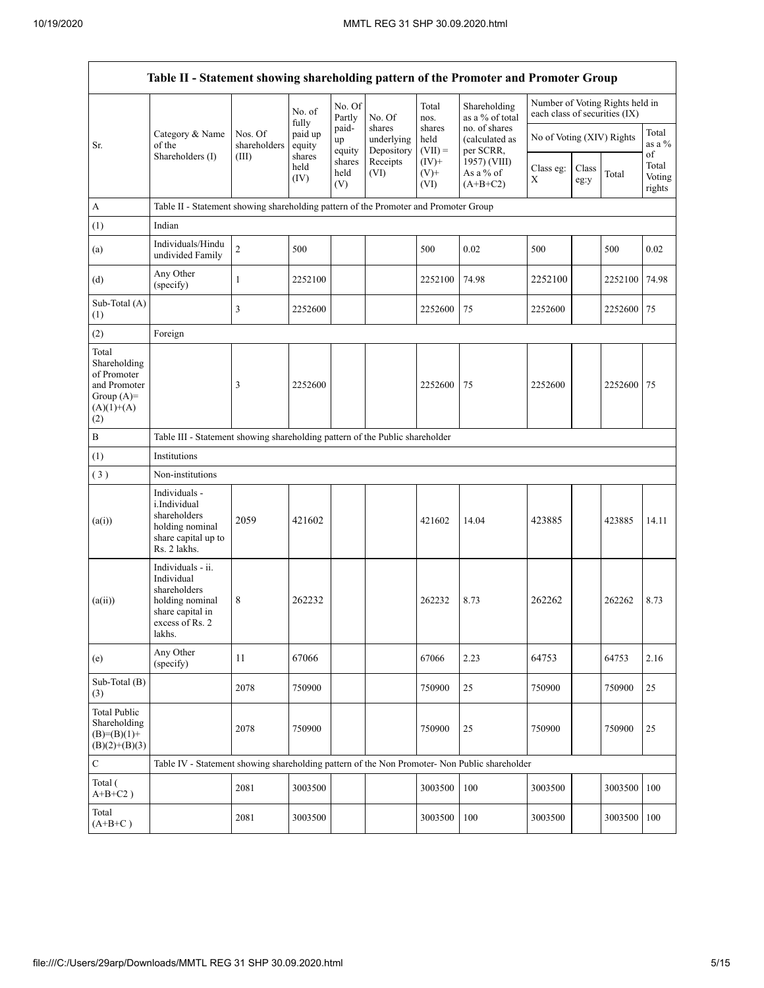| Table II - Statement showing shareholding pattern of the Promoter and Promoter Group         |                                                                                                                       |                         |                            |                       |                                    |                             |                                              |                               |               |                                 |                                 |
|----------------------------------------------------------------------------------------------|-----------------------------------------------------------------------------------------------------------------------|-------------------------|----------------------------|-----------------------|------------------------------------|-----------------------------|----------------------------------------------|-------------------------------|---------------|---------------------------------|---------------------------------|
|                                                                                              |                                                                                                                       |                         | No. of                     | No. Of<br>Partly      | No. Of                             | Total<br>nos.               | Shareholding<br>as a % of total              | each class of securities (IX) |               | Number of Voting Rights held in |                                 |
| Sr.                                                                                          | Category & Name<br>of the                                                                                             | Nos. Of<br>shareholders | fully<br>paid up<br>equity | paid-<br>up<br>equity | shares<br>underlying<br>Depository | shares<br>held<br>$(VII) =$ | no. of shares<br>(calculated as<br>per SCRR, | No of Voting (XIV) Rights     |               |                                 | Total<br>as a %                 |
|                                                                                              | Shareholders (I)                                                                                                      | (III)                   | shares<br>held<br>(IV)     | shares<br>held<br>(V) | Receipts<br>(VI)                   | $(IV)$ +<br>$(V)$ +<br>(VI) | 1957) (VIII)<br>As a % of<br>$(A+B+C2)$      | Class eg:<br>X                | Class<br>eg:y | Total                           | of<br>Total<br>Voting<br>rights |
| $\boldsymbol{A}$                                                                             | Table II - Statement showing shareholding pattern of the Promoter and Promoter Group                                  |                         |                            |                       |                                    |                             |                                              |                               |               |                                 |                                 |
| (1)                                                                                          | Indian                                                                                                                |                         |                            |                       |                                    |                             |                                              |                               |               |                                 |                                 |
| (a)                                                                                          | Individuals/Hindu<br>undivided Family                                                                                 | $\overline{c}$          | 500                        |                       |                                    | 500                         | 0.02                                         | 500                           |               | 500                             | 0.02                            |
| (d)                                                                                          | Any Other<br>(specify)                                                                                                | 1                       | 2252100                    |                       |                                    | 2252100                     | 74.98                                        | 2252100                       |               | 2252100                         | 74.98                           |
| Sub-Total (A)<br>(1)                                                                         |                                                                                                                       | 3                       | 2252600                    |                       |                                    | 2252600                     | 75                                           | 2252600                       |               | 2252600                         | 75                              |
| (2)                                                                                          | Foreign                                                                                                               |                         |                            |                       |                                    |                             |                                              |                               |               |                                 |                                 |
| Total<br>Shareholding<br>of Promoter<br>and Promoter<br>Group $(A)$ =<br>$(A)(1)+(A)$<br>(2) |                                                                                                                       | 3                       | 2252600                    |                       |                                    | 2252600                     | 75                                           | 2252600                       |               | 2252600                         | 75                              |
| $\, {\bf B}$                                                                                 | Table III - Statement showing shareholding pattern of the Public shareholder                                          |                         |                            |                       |                                    |                             |                                              |                               |               |                                 |                                 |
| (1)                                                                                          | Institutions                                                                                                          |                         |                            |                       |                                    |                             |                                              |                               |               |                                 |                                 |
| (3)                                                                                          | Non-institutions                                                                                                      |                         |                            |                       |                                    |                             |                                              |                               |               |                                 |                                 |
| (a(i))                                                                                       | Individuals -<br>i.Individual<br>shareholders<br>holding nominal<br>share capital up to<br>Rs. 2 lakhs.               | 2059                    | 421602                     |                       |                                    | 421602                      | 14.04                                        | 423885                        |               | 423885                          | 14.11                           |
| (a(ii))                                                                                      | Individuals - ii.<br>Individual<br>shareholders<br>holding nominal<br>share capital in<br>excess of $Rs. 2$<br>lakhs. | 8                       | 262232                     |                       |                                    | 262232                      | 8.73                                         | 262262                        |               | 262262                          | 8.73                            |
| (e)                                                                                          | Any Other<br>(specify)                                                                                                | 11                      | 67066                      |                       |                                    | 67066                       | 2.23                                         | 64753                         |               | 64753                           | 2.16                            |
| Sub-Total (B)<br>(3)                                                                         |                                                                                                                       | 2078                    | 750900                     |                       |                                    | 750900                      | 25                                           | 750900                        |               | 750900                          | 25                              |
| <b>Total Public</b><br>Shareholding<br>$(B)=(B)(1)+$<br>$(B)(2)+(B)(3)$                      |                                                                                                                       | 2078                    | 750900                     |                       |                                    | 750900                      | 25                                           | 750900                        |               | 750900                          | 25                              |
| ${\bf C}$                                                                                    | Table IV - Statement showing shareholding pattern of the Non Promoter- Non Public shareholder                         |                         |                            |                       |                                    |                             |                                              |                               |               |                                 |                                 |
| Total (<br>$A+B+C2$ )                                                                        |                                                                                                                       | 2081                    | 3003500                    |                       |                                    | 3003500                     | 100                                          | 3003500                       |               | 3003500                         | 100                             |
| Total<br>$(A+B+C)$                                                                           |                                                                                                                       | 2081                    | 3003500                    |                       |                                    | 3003500                     | 100                                          | 3003500                       |               | 3003500                         | 100                             |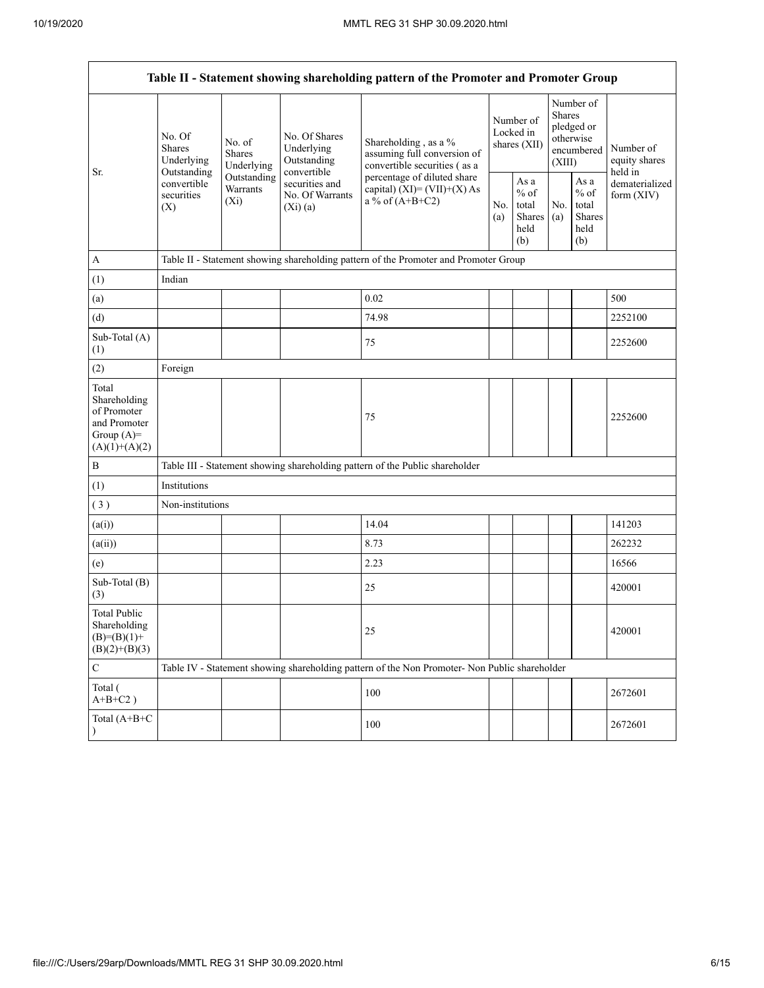|                                                                                         | Table II - Statement showing shareholding pattern of the Promoter and Promoter Group                                                                      |                                                           |                                                                                     |                                                                                               |                                                  |                                                                        |                                                  |                                       |         |  |
|-----------------------------------------------------------------------------------------|-----------------------------------------------------------------------------------------------------------------------------------------------------------|-----------------------------------------------------------|-------------------------------------------------------------------------------------|-----------------------------------------------------------------------------------------------|--------------------------------------------------|------------------------------------------------------------------------|--------------------------------------------------|---------------------------------------|---------|--|
| Sr.                                                                                     | No. Of<br>No. of<br>Shares<br>Shares<br>Underlying<br>Underlying<br>Outstanding<br>Outstanding<br>convertible<br>Warrants<br>securities<br>$(X_i)$<br>(X) | No. Of Shares<br>Underlying<br>Outstanding<br>convertible | Shareholding, as a %<br>assuming full conversion of<br>convertible securities (as a | Number of<br>Locked in<br>shares (XII)                                                        |                                                  | Number of<br>Shares<br>pledged or<br>otherwise<br>encumbered<br>(XIII) |                                                  | Number of<br>equity shares<br>held in |         |  |
|                                                                                         |                                                                                                                                                           | securities and<br>No. Of Warrants<br>(Xi)(a)              | percentage of diluted share<br>capital) $(XI) = (VII)+(X) As$<br>a % of $(A+B+C2)$  |                                                                                               | As a<br>$%$ of<br>total<br>Shares<br>held<br>(b) | No.<br>(a)                                                             | As a<br>$%$ of<br>total<br>Shares<br>held<br>(b) | dematerialized<br>form $(XIV)$        |         |  |
| $\mathbf{A}$                                                                            |                                                                                                                                                           |                                                           |                                                                                     | Table II - Statement showing shareholding pattern of the Promoter and Promoter Group          |                                                  |                                                                        |                                                  |                                       |         |  |
| (1)                                                                                     | Indian                                                                                                                                                    |                                                           |                                                                                     |                                                                                               |                                                  |                                                                        |                                                  |                                       |         |  |
| (a)                                                                                     |                                                                                                                                                           |                                                           |                                                                                     | 0.02                                                                                          |                                                  |                                                                        |                                                  |                                       | 500     |  |
| (d)                                                                                     |                                                                                                                                                           |                                                           |                                                                                     | 74.98                                                                                         |                                                  |                                                                        |                                                  |                                       | 2252100 |  |
| Sub-Total (A)<br>(1)                                                                    |                                                                                                                                                           |                                                           |                                                                                     | 75                                                                                            |                                                  |                                                                        |                                                  |                                       | 2252600 |  |
| (2)                                                                                     | Foreign                                                                                                                                                   |                                                           |                                                                                     |                                                                                               |                                                  |                                                                        |                                                  |                                       |         |  |
| Total<br>Shareholding<br>of Promoter<br>and Promoter<br>Group $(A)=$<br>$(A)(1)+(A)(2)$ |                                                                                                                                                           |                                                           |                                                                                     | 75                                                                                            |                                                  |                                                                        |                                                  |                                       | 2252600 |  |
| $\, {\bf B}$                                                                            |                                                                                                                                                           |                                                           |                                                                                     | Table III - Statement showing shareholding pattern of the Public shareholder                  |                                                  |                                                                        |                                                  |                                       |         |  |
| (1)                                                                                     | Institutions                                                                                                                                              |                                                           |                                                                                     |                                                                                               |                                                  |                                                                        |                                                  |                                       |         |  |
| (3)                                                                                     | Non-institutions                                                                                                                                          |                                                           |                                                                                     |                                                                                               |                                                  |                                                                        |                                                  |                                       |         |  |
| (a(i))                                                                                  |                                                                                                                                                           |                                                           |                                                                                     | 14.04                                                                                         |                                                  |                                                                        |                                                  |                                       | 141203  |  |
| (a(ii))                                                                                 |                                                                                                                                                           |                                                           |                                                                                     | 8.73                                                                                          |                                                  |                                                                        |                                                  |                                       | 262232  |  |
| (e)                                                                                     |                                                                                                                                                           |                                                           |                                                                                     | 2.23                                                                                          |                                                  |                                                                        |                                                  |                                       | 16566   |  |
| Sub-Total (B)<br>(3)                                                                    |                                                                                                                                                           |                                                           |                                                                                     | 25                                                                                            |                                                  |                                                                        |                                                  |                                       | 420001  |  |
| <b>Total Public</b><br>Shareholding<br>$(B)=(B)(1)+$<br>$(B)(2)+(B)(3)$                 |                                                                                                                                                           |                                                           |                                                                                     | 25                                                                                            |                                                  |                                                                        |                                                  |                                       | 420001  |  |
| $\mathsf C$                                                                             |                                                                                                                                                           |                                                           |                                                                                     | Table IV - Statement showing shareholding pattern of the Non Promoter- Non Public shareholder |                                                  |                                                                        |                                                  |                                       |         |  |
| Total (<br>$A+B+C2$ )                                                                   |                                                                                                                                                           |                                                           |                                                                                     | 100                                                                                           |                                                  |                                                                        |                                                  |                                       | 2672601 |  |
| Total (A+B+C                                                                            |                                                                                                                                                           |                                                           |                                                                                     | 100                                                                                           |                                                  |                                                                        |                                                  |                                       | 2672601 |  |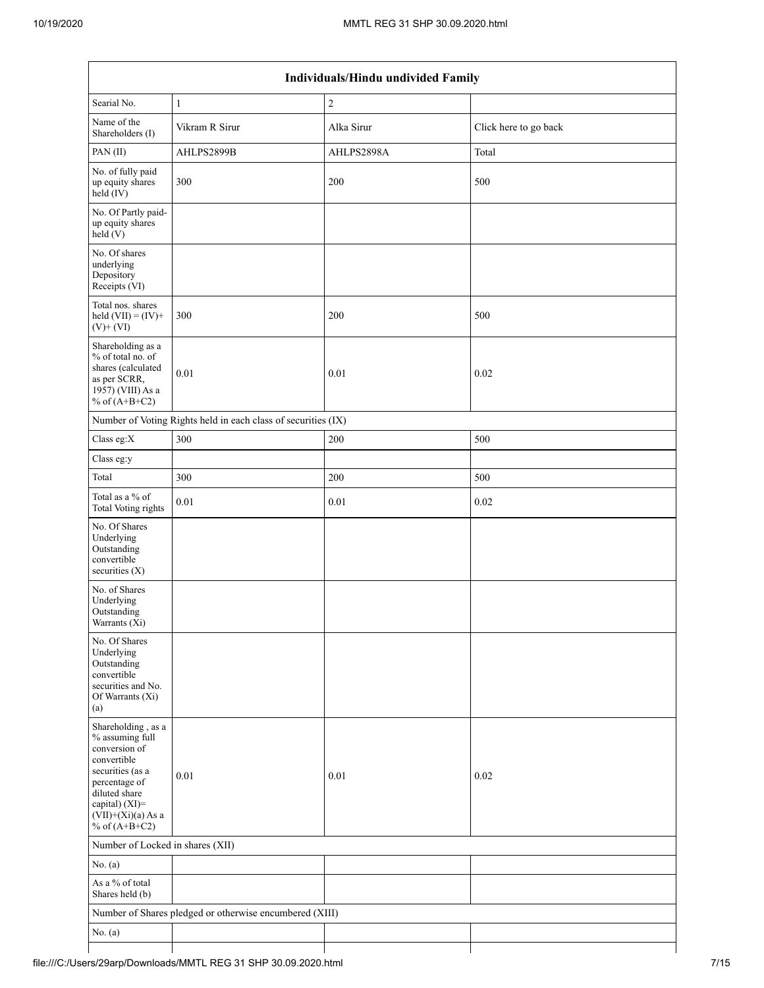| Individuals/Hindu undivided Family                                                                                                                                                       |                                                               |                |                       |  |  |  |  |
|------------------------------------------------------------------------------------------------------------------------------------------------------------------------------------------|---------------------------------------------------------------|----------------|-----------------------|--|--|--|--|
| Searial No.                                                                                                                                                                              | $\mathbf{1}$                                                  | $\overline{c}$ |                       |  |  |  |  |
| Name of the<br>Shareholders (I)                                                                                                                                                          | Vikram R Sirur                                                | Alka Sirur     | Click here to go back |  |  |  |  |
| PAN(II)                                                                                                                                                                                  | AHLPS2899B                                                    | AHLPS2898A     | Total                 |  |  |  |  |
| No. of fully paid<br>up equity shares<br>$\text{held} (IV)$                                                                                                                              | 300                                                           | 200            | 500                   |  |  |  |  |
| No. Of Partly paid-<br>up equity shares<br>held(V)                                                                                                                                       |                                                               |                |                       |  |  |  |  |
| No. Of shares<br>underlying<br>Depository<br>Receipts (VI)                                                                                                                               |                                                               |                |                       |  |  |  |  |
| Total nos. shares<br>held $(VII) = (IV) +$<br>$(V)$ + $(VI)$                                                                                                                             | 300                                                           | 200            | 500                   |  |  |  |  |
| Shareholding as a<br>% of total no. of<br>shares (calculated<br>as per SCRR,<br>1957) (VIII) As a<br>% of $(A+B+C2)$                                                                     | 0.01                                                          | $0.01\,$       | 0.02                  |  |  |  |  |
|                                                                                                                                                                                          | Number of Voting Rights held in each class of securities (IX) |                |                       |  |  |  |  |
| Class eg: $X$                                                                                                                                                                            | 300                                                           | 200            | 500                   |  |  |  |  |
| Class eg:y                                                                                                                                                                               |                                                               |                |                       |  |  |  |  |
| Total                                                                                                                                                                                    | 300                                                           | 200            | 500                   |  |  |  |  |
| Total as a % of<br><b>Total Voting rights</b>                                                                                                                                            | $0.01\,$                                                      | $0.01\,$       | 0.02                  |  |  |  |  |
| No. Of Shares<br>Underlying<br>Outstanding<br>convertible<br>securities (X)                                                                                                              |                                                               |                |                       |  |  |  |  |
| No. of Shares<br>Underlying<br>Outstanding<br>Warrants (Xi)                                                                                                                              |                                                               |                |                       |  |  |  |  |
| No. Of Shares<br>Underlying<br>Outstanding<br>convertible<br>securities and No.<br>Of Warrants (Xi)<br>(a)                                                                               |                                                               |                |                       |  |  |  |  |
| Shareholding, as a<br>% assuming full<br>conversion of<br>convertible<br>securities (as a<br>percentage of<br>diluted share<br>capital) (XI)=<br>$(VII)+(Xi)(a)$ As a<br>% of $(A+B+C2)$ | $0.01\,$                                                      | 0.01           | 0.02                  |  |  |  |  |
| Number of Locked in shares (XII)                                                                                                                                                         |                                                               |                |                       |  |  |  |  |
| No. $(a)$                                                                                                                                                                                |                                                               |                |                       |  |  |  |  |
| As a % of total<br>Shares held (b)                                                                                                                                                       |                                                               |                |                       |  |  |  |  |
|                                                                                                                                                                                          | Number of Shares pledged or otherwise encumbered (XIII)       |                |                       |  |  |  |  |
| No. (a)                                                                                                                                                                                  |                                                               |                |                       |  |  |  |  |
|                                                                                                                                                                                          |                                                               |                |                       |  |  |  |  |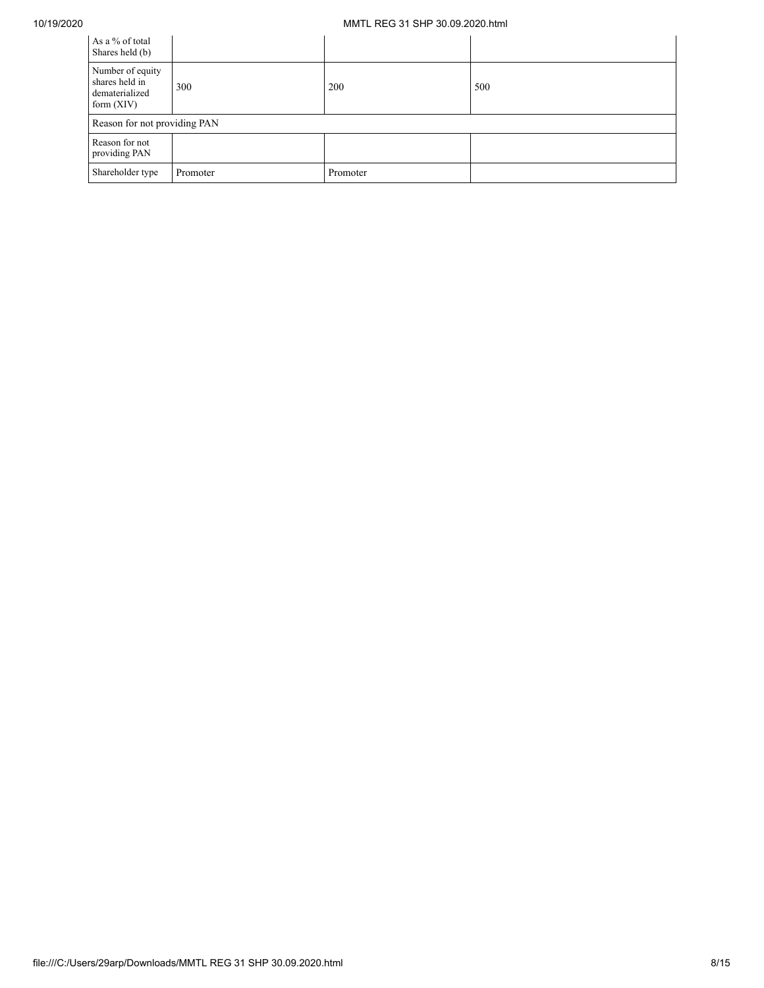## 10/19/2020 MMTL REG 31 SHP 30.09.2020.html

| As a % of total<br>Shares held (b)                                   |          |          |     |
|----------------------------------------------------------------------|----------|----------|-----|
| Number of equity<br>shares held in<br>dematerialized<br>form $(XIV)$ | 300      | 200      | 500 |
| Reason for not providing PAN                                         |          |          |     |
| Reason for not<br>providing PAN                                      |          |          |     |
| Shareholder type                                                     | Promoter | Promoter |     |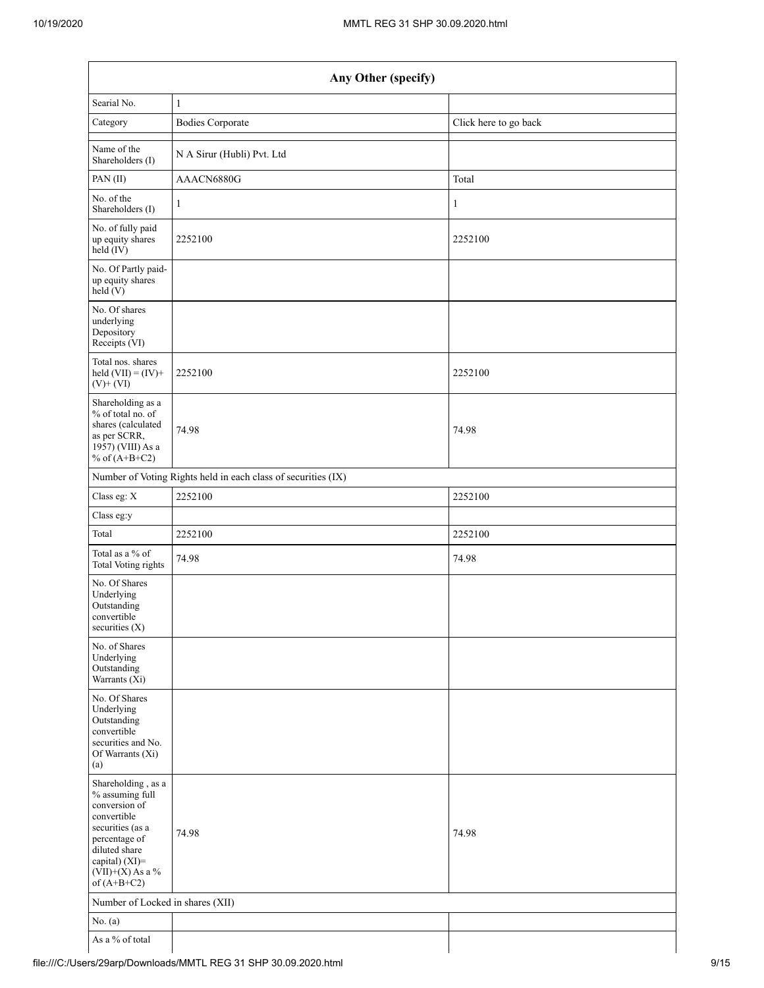|                                                                                                                                                                                      | Any Other (specify)                                           |                       |  |  |  |  |  |  |
|--------------------------------------------------------------------------------------------------------------------------------------------------------------------------------------|---------------------------------------------------------------|-----------------------|--|--|--|--|--|--|
| Searial No.                                                                                                                                                                          | $\mathbf{1}$                                                  |                       |  |  |  |  |  |  |
| Category                                                                                                                                                                             | <b>Bodies Corporate</b>                                       | Click here to go back |  |  |  |  |  |  |
| Name of the<br>Shareholders (I)                                                                                                                                                      | N A Sirur (Hubli) Pvt. Ltd                                    |                       |  |  |  |  |  |  |
| PAN (II)                                                                                                                                                                             | AAACN6880G                                                    | Total                 |  |  |  |  |  |  |
| No. of the<br>Shareholders (I)                                                                                                                                                       | 1                                                             | 1                     |  |  |  |  |  |  |
| No. of fully paid<br>up equity shares<br>held (IV)                                                                                                                                   | 2252100                                                       | 2252100               |  |  |  |  |  |  |
| No. Of Partly paid-<br>up equity shares<br>held(V)                                                                                                                                   |                                                               |                       |  |  |  |  |  |  |
| No. Of shares<br>underlying<br>Depository<br>Receipts (VI)                                                                                                                           |                                                               |                       |  |  |  |  |  |  |
| Total nos. shares<br>held $(VII) = (IV) +$<br>$(V)$ + $(VI)$                                                                                                                         | 2252100                                                       | 2252100               |  |  |  |  |  |  |
| Shareholding as a<br>% of total no. of<br>shares (calculated<br>as per SCRR,<br>1957) (VIII) As a<br>% of $(A+B+C2)$                                                                 | 74.98                                                         | 74.98                 |  |  |  |  |  |  |
|                                                                                                                                                                                      | Number of Voting Rights held in each class of securities (IX) |                       |  |  |  |  |  |  |
| Class eg: X                                                                                                                                                                          | 2252100                                                       | 2252100               |  |  |  |  |  |  |
| Class eg:y                                                                                                                                                                           |                                                               |                       |  |  |  |  |  |  |
| Total                                                                                                                                                                                | 2252100                                                       | 2252100               |  |  |  |  |  |  |
| Total as a % of<br>Total Voting rights                                                                                                                                               | 74.98                                                         | 74.98                 |  |  |  |  |  |  |
| No. Of Shares<br>Underlying<br>Outstanding<br>convertible<br>securities $(X)$                                                                                                        |                                                               |                       |  |  |  |  |  |  |
| No. of Shares<br>Underlying<br>Outstanding<br>Warrants (Xi)                                                                                                                          |                                                               |                       |  |  |  |  |  |  |
| No. Of Shares<br>Underlying<br>Outstanding<br>convertible<br>securities and No.<br>Of Warrants (Xi)<br>(a)                                                                           |                                                               |                       |  |  |  |  |  |  |
| Shareholding, as a<br>% assuming full<br>conversion of<br>convertible<br>securities (as a<br>percentage of<br>diluted share<br>capital) (XI)=<br>$(VII)+(X)$ As a %<br>of $(A+B+C2)$ | 74.98                                                         | 74.98                 |  |  |  |  |  |  |
| Number of Locked in shares (XII)                                                                                                                                                     |                                                               |                       |  |  |  |  |  |  |
| No. (a)                                                                                                                                                                              |                                                               |                       |  |  |  |  |  |  |
| As a % of total                                                                                                                                                                      |                                                               |                       |  |  |  |  |  |  |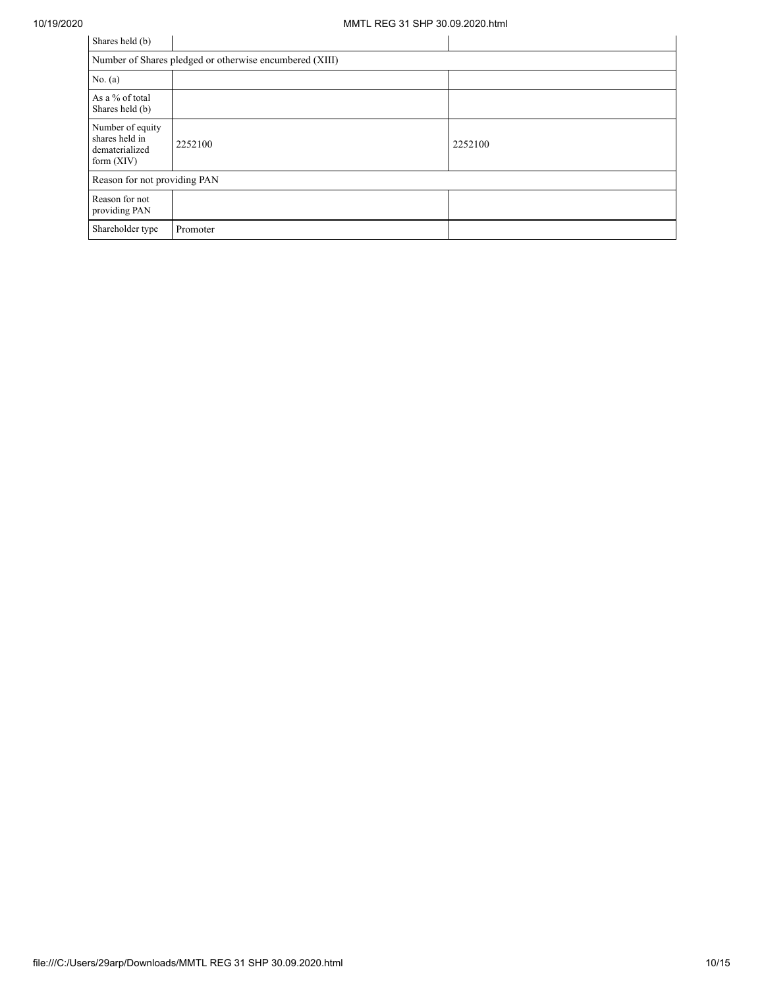| Shares held (b)                                                      |                                                         |         |
|----------------------------------------------------------------------|---------------------------------------------------------|---------|
|                                                                      | Number of Shares pledged or otherwise encumbered (XIII) |         |
| No. $(a)$                                                            |                                                         |         |
| As a % of total<br>Shares held (b)                                   |                                                         |         |
| Number of equity<br>shares held in<br>dematerialized<br>form $(XIV)$ | 2252100                                                 | 2252100 |
| Reason for not providing PAN                                         |                                                         |         |
| Reason for not<br>providing PAN                                      |                                                         |         |
| Shareholder type                                                     | Promoter                                                |         |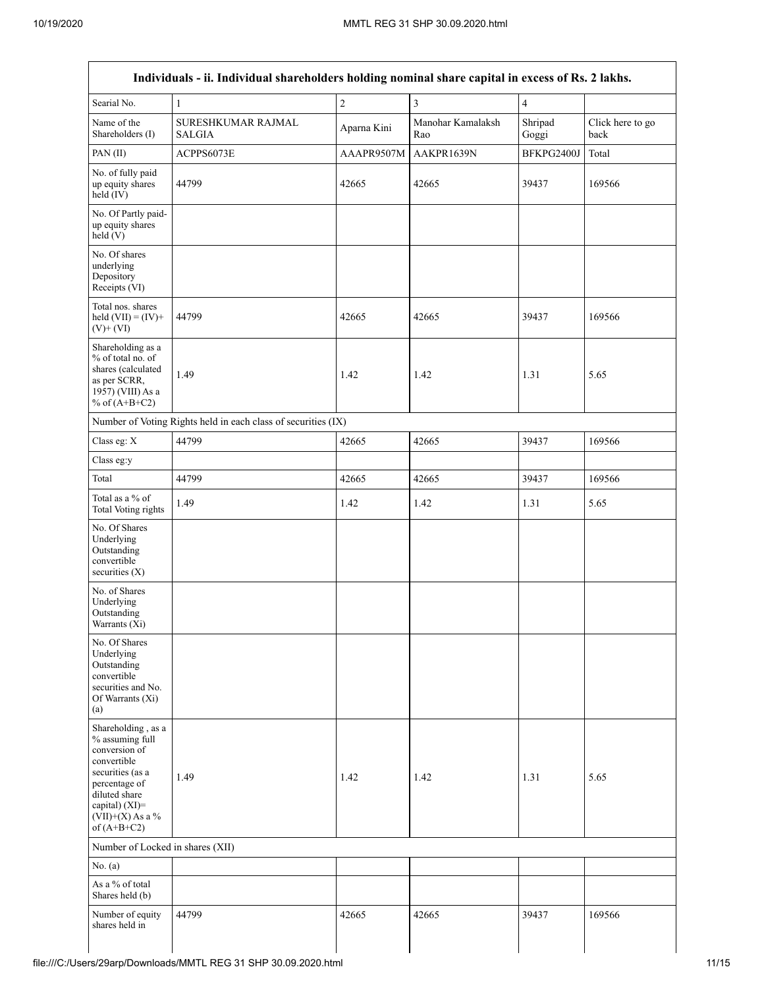Г

| Individuals - ii. Individual shareholders holding nominal share capital in excess of Rs. 2 lakhs.                                                                                    |                                                               |                |                          |                         |                          |  |  |  |  |
|--------------------------------------------------------------------------------------------------------------------------------------------------------------------------------------|---------------------------------------------------------------|----------------|--------------------------|-------------------------|--------------------------|--|--|--|--|
| Searial No.                                                                                                                                                                          | $\mathbf{1}$                                                  | $\overline{c}$ | $\overline{3}$           | $\overline{\mathbf{4}}$ |                          |  |  |  |  |
| Name of the<br>Shareholders (I)                                                                                                                                                      | SURESHKUMAR RAJMAL<br>SALGIA                                  | Aparna Kini    | Manohar Kamalaksh<br>Rao | Shripad<br>Goggi        | Click here to go<br>back |  |  |  |  |
| PAN(II)                                                                                                                                                                              | ACPPS6073E                                                    | AAAPR9507M     | AAKPR1639N               | BFKPG2400J              | Total                    |  |  |  |  |
| No. of fully paid<br>up equity shares<br>$held$ (IV)                                                                                                                                 | 44799                                                         | 42665          | 42665                    | 39437                   | 169566                   |  |  |  |  |
| No. Of Partly paid-<br>up equity shares<br>held(V)                                                                                                                                   |                                                               |                |                          |                         |                          |  |  |  |  |
| No. Of shares<br>underlying<br>Depository<br>Receipts (VI)                                                                                                                           |                                                               |                |                          |                         |                          |  |  |  |  |
| Total nos. shares<br>held $(VII) = (IV) +$<br>$(V)$ + $(VI)$                                                                                                                         | 44799                                                         | 42665          | 42665                    | 39437                   | 169566                   |  |  |  |  |
| Shareholding as a<br>% of total no. of<br>shares (calculated<br>as per SCRR,<br>1957) (VIII) As a<br>% of $(A+B+C2)$                                                                 | 1.49                                                          | 1.42           | 1.42                     | 1.31                    | 5.65                     |  |  |  |  |
|                                                                                                                                                                                      | Number of Voting Rights held in each class of securities (IX) |                |                          |                         |                          |  |  |  |  |
| Class eg: X                                                                                                                                                                          | 44799                                                         | 42665          | 42665                    | 39437                   | 169566                   |  |  |  |  |
| Class eg:y                                                                                                                                                                           |                                                               |                |                          |                         |                          |  |  |  |  |
| Total                                                                                                                                                                                | 44799                                                         | 42665          | 42665                    | 39437                   | 169566                   |  |  |  |  |
| Total as a % of<br>Total Voting rights                                                                                                                                               | 1.49                                                          | 1.42           | 1.42                     | 1.31                    | 5.65                     |  |  |  |  |
| No. Of Shares<br>Underlying<br>Outstanding<br>convertible<br>securities $(X)$                                                                                                        |                                                               |                |                          |                         |                          |  |  |  |  |
| No. of Shares<br>Underlying<br>Outstanding<br>Warrants (Xi)                                                                                                                          |                                                               |                |                          |                         |                          |  |  |  |  |
| No. Of Shares<br>Underlying<br>Outstanding<br>convertible<br>securities and No.<br>Of Warrants $(X_i)$<br>(a)                                                                        |                                                               |                |                          |                         |                          |  |  |  |  |
| Shareholding, as a<br>% assuming full<br>conversion of<br>convertible<br>securities (as a<br>percentage of<br>diluted share<br>capital) (XI)=<br>$(VII)+(X)$ As a %<br>of $(A+B+C2)$ | 1.49                                                          | 1.42           | 1.42                     | 1.31                    | 5.65                     |  |  |  |  |
| Number of Locked in shares (XII)                                                                                                                                                     |                                                               |                |                          |                         |                          |  |  |  |  |
| No. (a)                                                                                                                                                                              |                                                               |                |                          |                         |                          |  |  |  |  |
| As a % of total<br>Shares held (b)                                                                                                                                                   |                                                               |                |                          |                         |                          |  |  |  |  |
| Number of equity<br>shares held in                                                                                                                                                   | 44799                                                         | 42665          | 42665                    | 39437                   | 169566                   |  |  |  |  |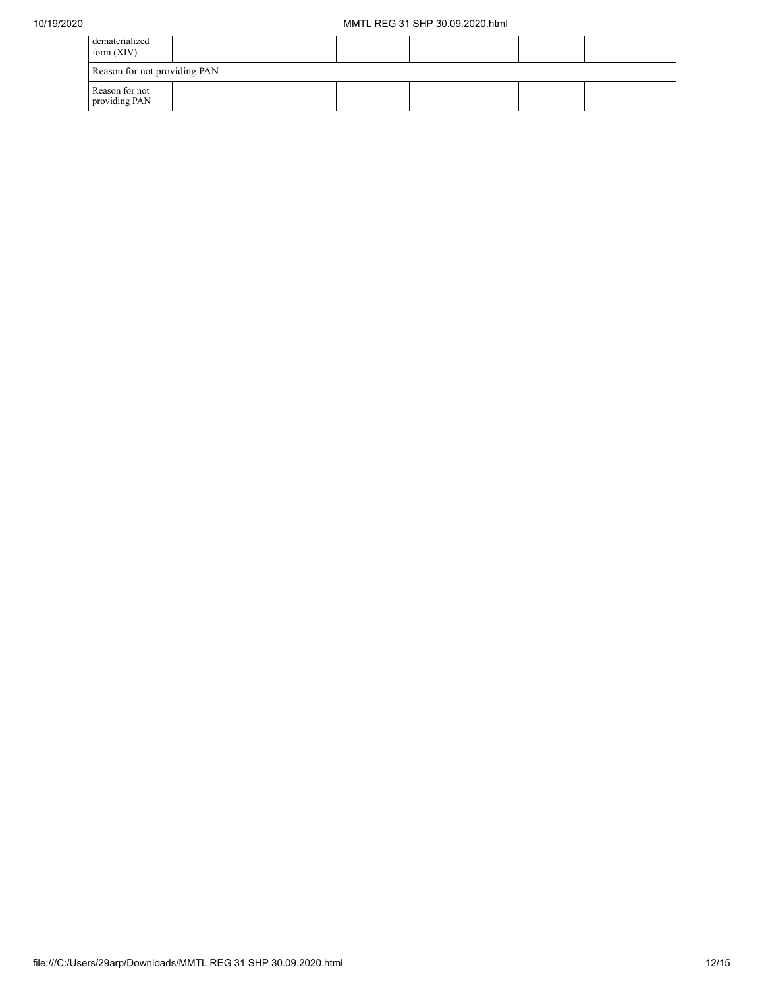| dematerialized<br>form $(XIV)$  |  |  |  |
|---------------------------------|--|--|--|
| Reason for not providing PAN    |  |  |  |
| Reason for not<br>providing PAN |  |  |  |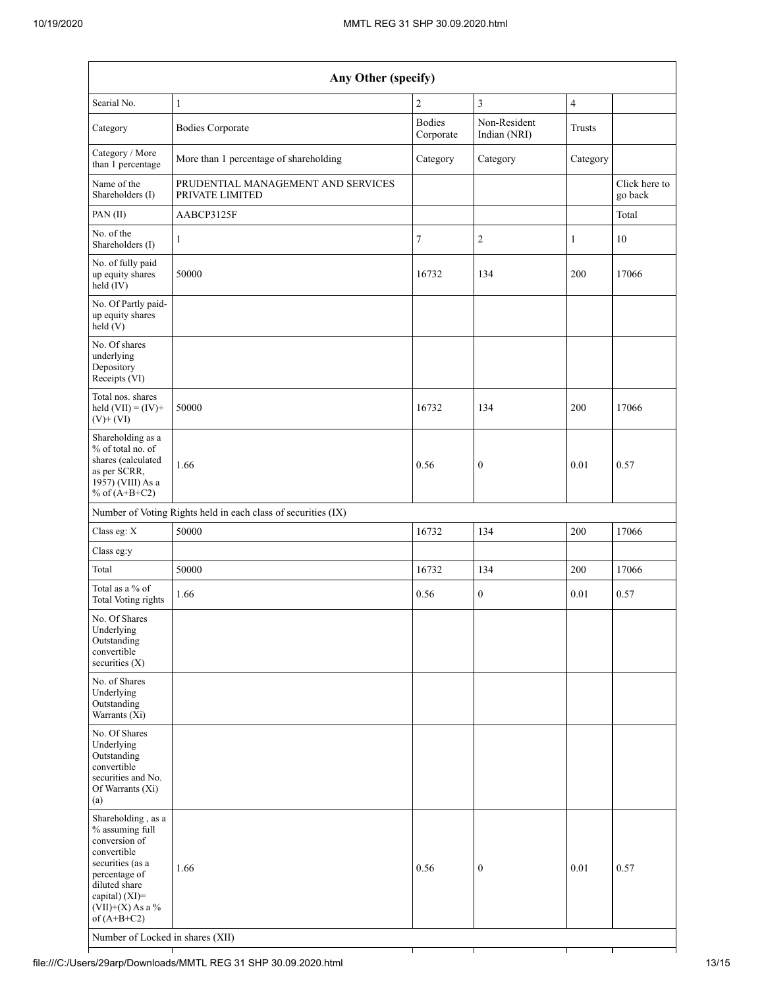| Any Other (specify)                                                                                                                                                                                                      |                                                       |                            |                              |                |                          |  |  |  |
|--------------------------------------------------------------------------------------------------------------------------------------------------------------------------------------------------------------------------|-------------------------------------------------------|----------------------------|------------------------------|----------------|--------------------------|--|--|--|
| Searial No.                                                                                                                                                                                                              | $\mathbf{1}$                                          | $\overline{2}$             | $\mathfrak{Z}$               | $\overline{4}$ |                          |  |  |  |
| Category                                                                                                                                                                                                                 | <b>Bodies Corporate</b>                               | <b>Bodies</b><br>Corporate | Non-Resident<br>Indian (NRI) | <b>Trusts</b>  |                          |  |  |  |
| Category / More<br>than 1 percentage                                                                                                                                                                                     | More than 1 percentage of shareholding                | Category                   | Category                     | Category       |                          |  |  |  |
| Name of the<br>Shareholders (I)                                                                                                                                                                                          | PRUDENTIAL MANAGEMENT AND SERVICES<br>PRIVATE LIMITED |                            |                              |                | Click here to<br>go back |  |  |  |
| PAN (II)                                                                                                                                                                                                                 | AABCP3125F                                            |                            |                              |                | Total                    |  |  |  |
| No. of the<br>Shareholders (I)                                                                                                                                                                                           | $\mathbf{1}$                                          | 7                          | $\overline{2}$               | $\mathbf{1}$   | 10                       |  |  |  |
| No. of fully paid<br>up equity shares<br>$held$ (IV)                                                                                                                                                                     | 50000                                                 | 16732                      | 134                          | 200            | 17066                    |  |  |  |
| No. Of Partly paid-<br>up equity shares<br>held(V)                                                                                                                                                                       |                                                       |                            |                              |                |                          |  |  |  |
| No. Of shares<br>underlying<br>Depository<br>Receipts (VI)                                                                                                                                                               |                                                       |                            |                              |                |                          |  |  |  |
| Total nos. shares<br>held $(VII) = (IV) +$<br>$(V)$ + $(VI)$                                                                                                                                                             | 50000                                                 | 16732                      | 134                          | 200            | 17066                    |  |  |  |
| Shareholding as a<br>% of total no. of<br>shares (calculated<br>as per SCRR,<br>1957) (VIII) As a<br>% of $(A+B+C2)$                                                                                                     | 1.66                                                  | 0.56                       | $\mathbf{0}$                 | 0.01           | 0.57                     |  |  |  |
| Number of Voting Rights held in each class of securities (IX)                                                                                                                                                            |                                                       |                            |                              |                |                          |  |  |  |
| Class eg: X                                                                                                                                                                                                              | 50000                                                 | 16732                      | 134                          | 200            | 17066                    |  |  |  |
| Class eg:y                                                                                                                                                                                                               |                                                       |                            |                              |                |                          |  |  |  |
| Total                                                                                                                                                                                                                    | 50000                                                 | 16732                      | 134                          | 200            | 17066                    |  |  |  |
| Total as a % of<br>Total Voting rights                                                                                                                                                                                   | 1.66                                                  | 0.56                       | $\boldsymbol{0}$             | 0.01           | 0.57                     |  |  |  |
| No. Of Shares<br>Underlying<br>Outstanding<br>convertible<br>securities $(X)$                                                                                                                                            |                                                       |                            |                              |                |                          |  |  |  |
| No. of Shares<br>Underlying<br>Outstanding<br>Warrants (Xi)                                                                                                                                                              |                                                       |                            |                              |                |                          |  |  |  |
| No. Of Shares<br>Underlying<br>Outstanding<br>convertible<br>securities and No.<br>Of Warrants (Xi)<br>(a)                                                                                                               |                                                       |                            |                              |                |                          |  |  |  |
| Shareholding, as a<br>% assuming full<br>conversion of<br>convertible<br>securities (as a<br>percentage of<br>diluted share<br>capital) (XI)=<br>$(VII)+(X)$ As a %<br>of $(A+B+C2)$<br>Number of Locked in shares (XII) | 1.66                                                  | 0.56                       | $\mathbf{0}$                 | 0.01           | 0.57                     |  |  |  |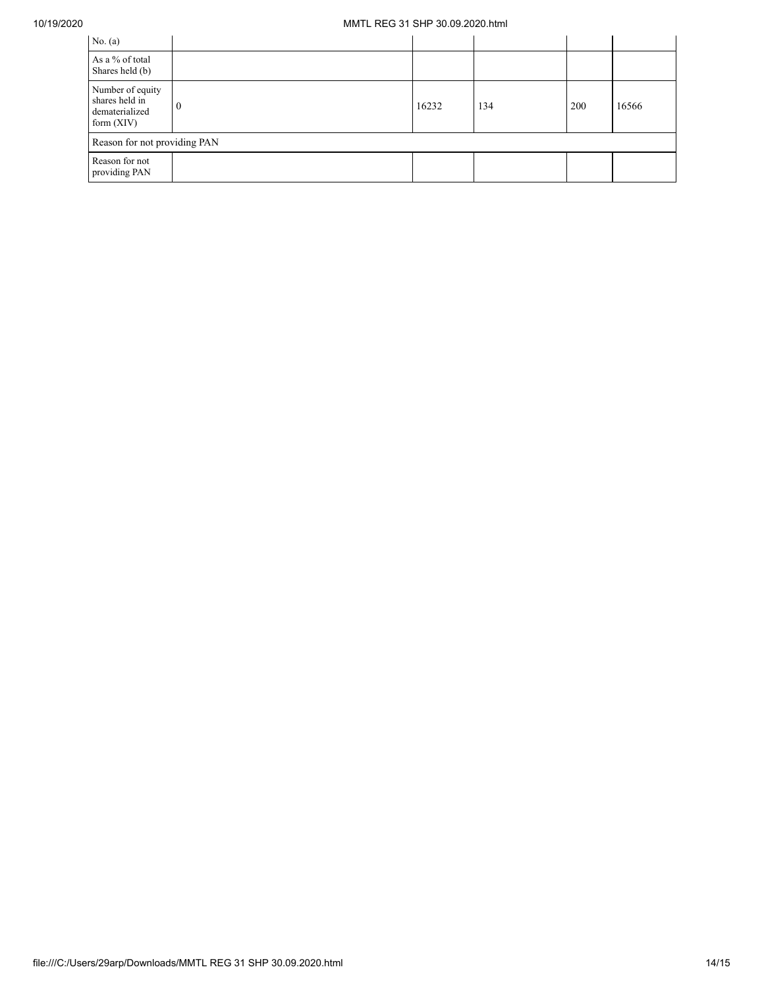## 10/19/2020 MMTL REG 31 SHP 30.09.2020.html

| No. $(a)$                                                            |   |       |     |     |       |  |  |  |
|----------------------------------------------------------------------|---|-------|-----|-----|-------|--|--|--|
| As a % of total<br>Shares held (b)                                   |   |       |     |     |       |  |  |  |
| Number of equity<br>shares held in<br>dematerialized<br>form $(XIV)$ | 0 | 16232 | 134 | 200 | 16566 |  |  |  |
| Reason for not providing PAN                                         |   |       |     |     |       |  |  |  |
| Reason for not<br>providing PAN                                      |   |       |     |     |       |  |  |  |